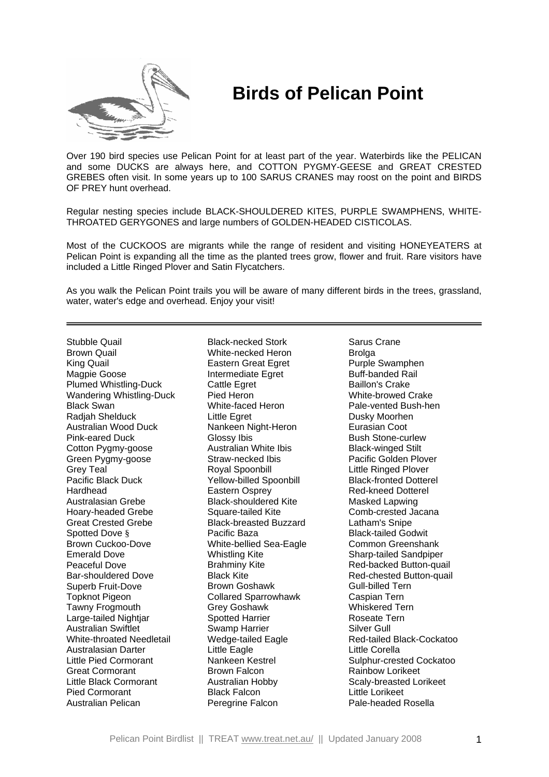

## **Birds of Pelican Point**

Over 190 bird species use Pelican Point for at least part of the year. Waterbirds like the PELICAN and some DUCKS are always here, and COTTON PYGMY-GEESE and GREAT CRESTED GREBES often visit. In some years up to 100 SARUS CRANES may roost on the point and BIRDS OF PREY hunt overhead.

Regular nesting species include BLACK-SHOULDERED KITES, PURPLE SWAMPHENS, WHITE-THROATED GERYGONES and large numbers of GOLDEN-HEADED CISTICOLAS.

Most of the CUCKOOS are migrants while the range of resident and visiting HONEYEATERS at Pelican Point is expanding all the time as the planted trees grow, flower and fruit. Rare visitors have included a Little Ringed Plover and Satin Flycatchers.

As you walk the Pelican Point trails you will be aware of many different birds in the trees, grassland, water, water's edge and overhead. Enjoy your visit!

Stubble Quail Brown Quail King Quail Magpie Goose Plumed Whistling-Duck Wandering Whistling-Duck Black Swan Radjah Shelduck Australian Wood Duck Pink-eared Duck Cotton Pygmy-goose Green Pygmy-goose Grey Teal Pacific Black Duck Hardhead Australasian Grebe Hoary-headed Grebe Great Crested Grebe Spotted Dove § Brown Cuckoo-Dove Emerald Dove Peaceful Dove Bar-shouldered Dove Superb Fruit-Dove Topknot Pigeon Tawny Frogmouth Large-tailed Nightjar Australian Swiftlet White-throated Needletail Australasian Darter Little Pied Cormorant Great Cormorant Little Black Cormorant Pied Cormorant Australian Pelican

Black-necked Stork White-necked Heron Eastern Great Egret Intermediate Egret Cattle Egret Pied Heron White-faced Heron Little Egret Nankeen Night-Heron Glossy Ibis Australian White Ibis Straw-necked Ibis Royal Spoonbill Yellow-billed Spoonbill Eastern Osprey Black-shouldered Kite Square-tailed Kite Black-breasted Buzzard Pacific Baza White-bellied Sea-Eagle Whistling Kite Brahminy Kite Black Kite Brown Goshawk Collared Sparrowhawk Grey Goshawk Spotted Harrier Swamp Harrier Wedge-tailed Eagle Little Eagle Nankeen Kestrel Brown Falcon Australian Hobby Black Falcon Peregrine Falcon

Sarus Crane **Brolga** Purple Swamphen Buff-banded Rail Baillon's Crake White-browed Crake Pale-vented Bush-hen Dusky Moorhen Eurasian Coot Bush Stone-curlew Black-winged Stilt Pacific Golden Plover Little Ringed Plover Black-fronted Dotterel Red-kneed Dotterel Masked Lapwing Comb-crested Jacana Latham's Snipe Black-tailed Godwit Common Greenshank Sharp-tailed Sandpiper Red-backed Button-quail Red-chested Button-quail Gull-billed Tern Caspian Tern Whiskered Tern Roseate Tern Silver Gull Red-tailed Black-Cockatoo Little Corella Sulphur-crested Cockatoo Rainbow Lorikeet Scaly-breasted Lorikeet Little Lorikeet Pale-headed Rosella